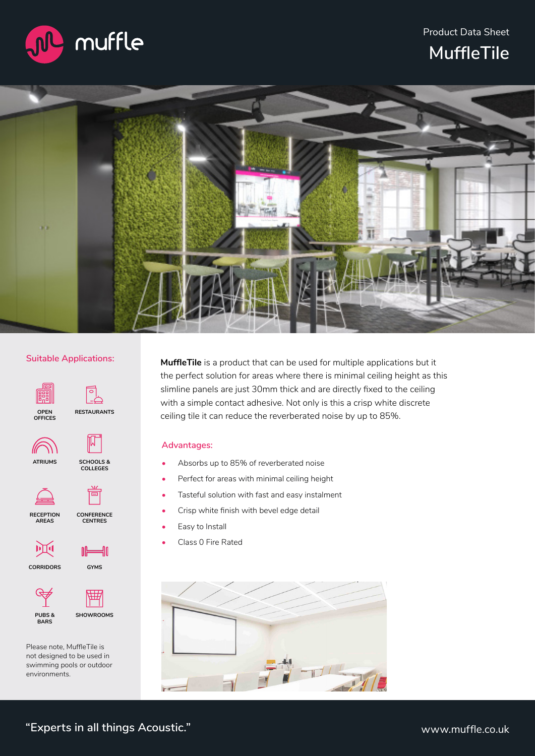Product Data Sheet



**MuffleTile**



# **Suitable Applications:**



Please note, MuffleTile is not designed to be used in swimming pools or outdoor environments.

**MuffleTile** is a product that can be used for multiple applications but it the perfect solution for areas where there is minimal ceiling height as this slimline panels are just 30mm thick and are directly fixed to the ceiling with a simple contact adhesive. Not only is this a crisp white discrete ceiling tile it can reduce the reverberated noise by up to 85%.

# **Advantages:**

- Absorbs up to 85% of reverberated noise
- Perfect for areas with minimal ceiling height
- Tasteful solution with fast and easy instalment
- Crisp white finish with bevel edge detail
- Easy to Install
- Class 0 Fire Rated

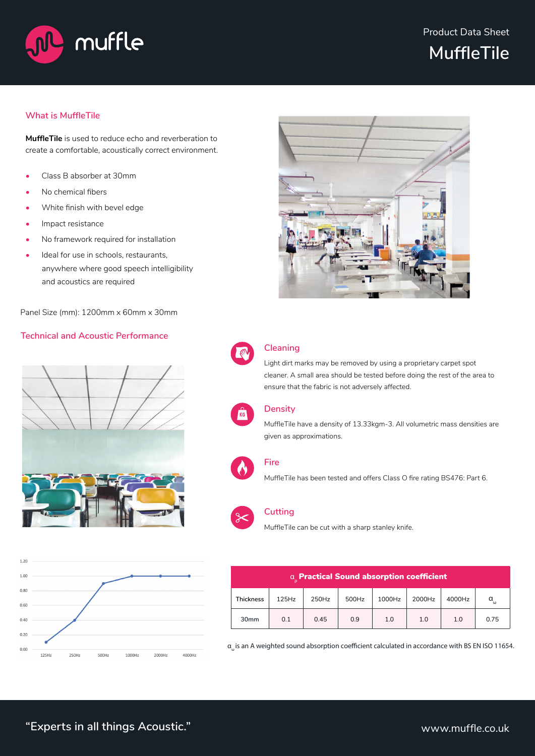

# **MuffleTile**

# **What is MuffleTile**

**MuffleTile** is used to reduce echo and reverberation to create a comfortable, acoustically correct environment.

- Class B absorber at 30mm
- No chemical fibers
- White finish with bevel edge
- Impact resistance
- No framework required for installation
- Ideal for use in schools, restaurants, anywhere where good speech intelligibility and acoustics are required

Panel Size (mm): 1200mm x 60mm x 30mm

# **Technical and Acoustic Performance**









# **Cleaning**

Light dirt marks may be removed by using a proprietary carpet spot cleaner. A small area should be tested before doing the rest of the area to ensure that the fabric is not adversely affected.



# **Density**

MuffleTile have a density of 13.33kgm-3. All volumetric mass densities are given as approximations.



#### **Fire**

MuffleTile has been tested and offers Class O fire rating BS476: Part 6.



#### **Cutting**

MuffleTile can be cut with a sharp stanley knife.

| a Practical Sound absorption coefficient |       |       |       |        |        |        |          |
|------------------------------------------|-------|-------|-------|--------|--------|--------|----------|
| Thickness                                | 125Hz | 250Hz | 500Hz | 1000Hz | 2000Hz | 4000Hz | $\alpha$ |
| 30 <sub>mm</sub>                         | 0.1   | 0.45  | 0.9   | 1.0    | 1.0    | 1.0    | 0.75     |

αω is an A weighted sound absorption coefficient calculated in accordance with BS EN ISO 11654.